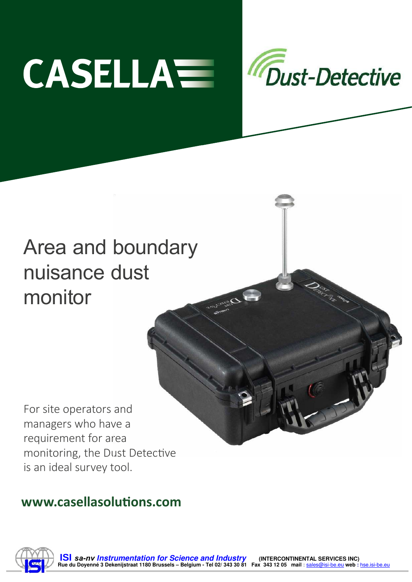



# Area and boundary nuisance dust monitor

For site operators and managers who have a requirement for area monitoring, the Dust Detective is an ideal survey tool.

# **www.casellasolutions.com**